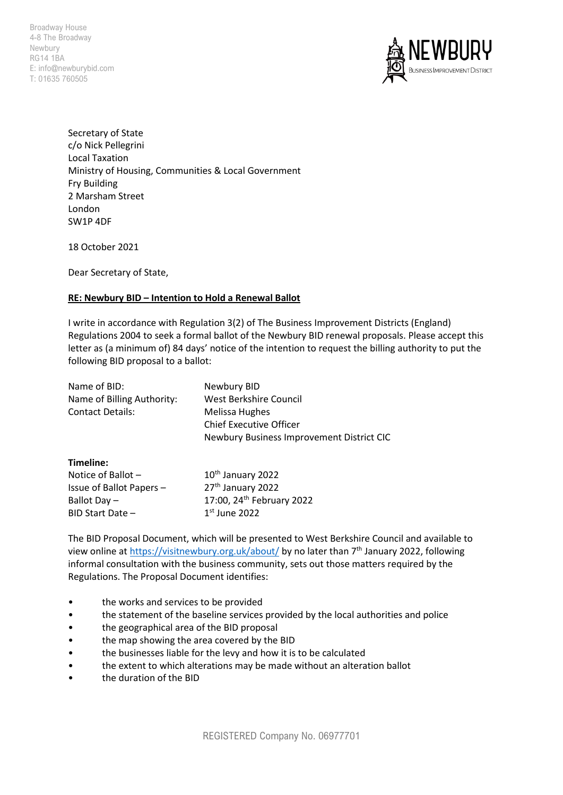Broadway House 4-8 The Broadway Newbury RG14 1BA E: info@newburybid.com T: 01635 760505



Secretary of State c/o Nick Pellegrini Local Taxation Ministry of Housing, Communities & Local Government Fry Building 2 Marsham Street London SW1P 4DF

18 October 2021

Dear Secretary of State,

## **RE: Newbury BID – Intention to Hold a Renewal Ballot**

I write in accordance with Regulation 3(2) of The Business Improvement Districts (England) Regulations 2004 to seek a formal ballot of the Newbury BID renewal proposals. Please accept this letter as (a minimum of) 84 days' notice of the intention to request the billing authority to put the following BID proposal to a ballot:

| Name of BID:               | Newbury BID                               |
|----------------------------|-------------------------------------------|
| Name of Billing Authority: | West Berkshire Council                    |
| Contact Details:           | Melissa Hughes                            |
|                            | <b>Chief Executive Officer</b>            |
|                            | Newbury Business Improvement District CIC |
|                            |                                           |

## **Timeline:**

| Notice of Ballot $-$     | 10 <sup>th</sup> January 2022         |
|--------------------------|---------------------------------------|
| Issue of Ballot Papers - | 27 <sup>th</sup> January 2022         |
| Ballot Day $-$           | 17:00, 24 <sup>th</sup> February 2022 |
| $BID$ Start Date $-$     | $1st$ June 2022                       |

The BID Proposal Document, which will be presented to West Berkshire Council and available to view online at<https://visitnewbury.org.uk/about/> by no later than 7<sup>th</sup> January 2022, following informal consultation with the business community, sets out those matters required by the Regulations. The Proposal Document identifies:

- the works and services to be provided
- the statement of the baseline services provided by the local authorities and police
- the geographical area of the BID proposal
- the map showing the area covered by the BID
- the businesses liable for the levy and how it is to be calculated
- the extent to which alterations may be made without an alteration ballot
- the duration of the BID